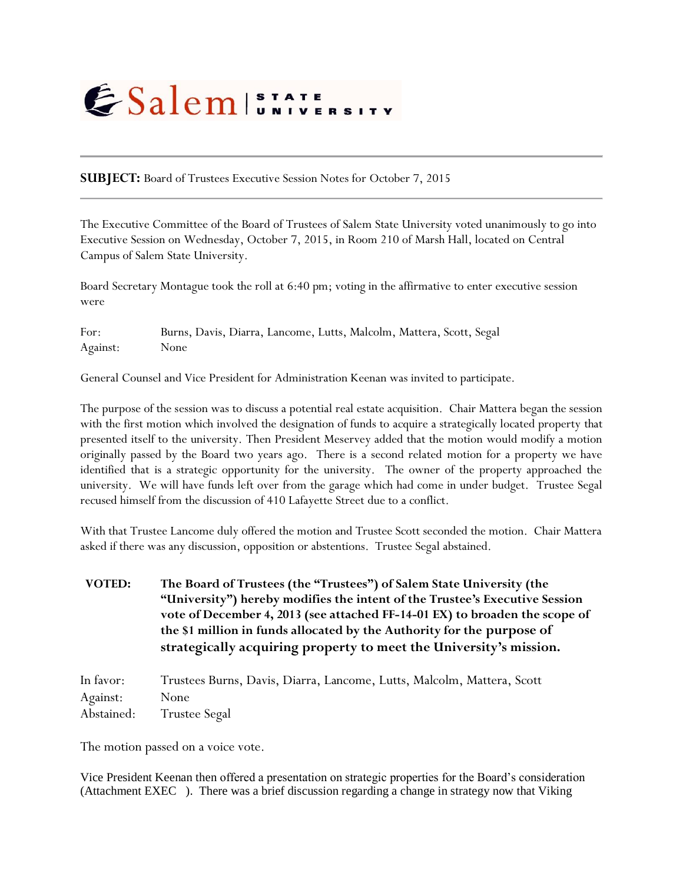## ESalem STATE

**SUBJECT:** Board of Trustees Executive Session Notes for October 7, 2015

The Executive Committee of the Board of Trustees of Salem State University voted unanimously to go into Executive Session on Wednesday, October 7, 2015, in Room 210 of Marsh Hall, located on Central Campus of Salem State University.

Board Secretary Montague took the roll at 6:40 pm; voting in the affirmative to enter executive session were

For: Burns, Davis, Diarra, Lancome, Lutts, Malcolm, Mattera, Scott, Segal Against: None

General Counsel and Vice President for Administration Keenan was invited to participate.

The purpose of the session was to discuss a potential real estate acquisition. Chair Mattera began the session with the first motion which involved the designation of funds to acquire a strategically located property that presented itself to the university. Then President Meservey added that the motion would modify a motion originally passed by the Board two years ago. There is a second related motion for a property we have identified that is a strategic opportunity for the university. The owner of the property approached the university. We will have funds left over from the garage which had come in under budget. Trustee Segal recused himself from the discussion of 410 Lafayette Street due to a conflict.

With that Trustee Lancome duly offered the motion and Trustee Scott seconded the motion. Chair Mattera asked if there was any discussion, opposition or abstentions. Trustee Segal abstained.

**VOTED: The Board of Trustees (the "Trustees") of Salem State University (the "University") hereby modifies the intent of the Trustee's Executive Session vote of December 4, 2013 (see attached FF-14-01 EX) to broaden the scope of the \$1 million in funds allocated by the Authority for the purpose of strategically acquiring property to meet the University's mission.**

In favor: Trustees Burns, Davis, Diarra, Lancome, Lutts, Malcolm, Mattera, Scott Against: None Abstained: Trustee Segal

The motion passed on a voice vote.

Vice President Keenan then offered a presentation on strategic properties for the Board's consideration (Attachment EXEC ). There was a brief discussion regarding a change in strategy now that Viking